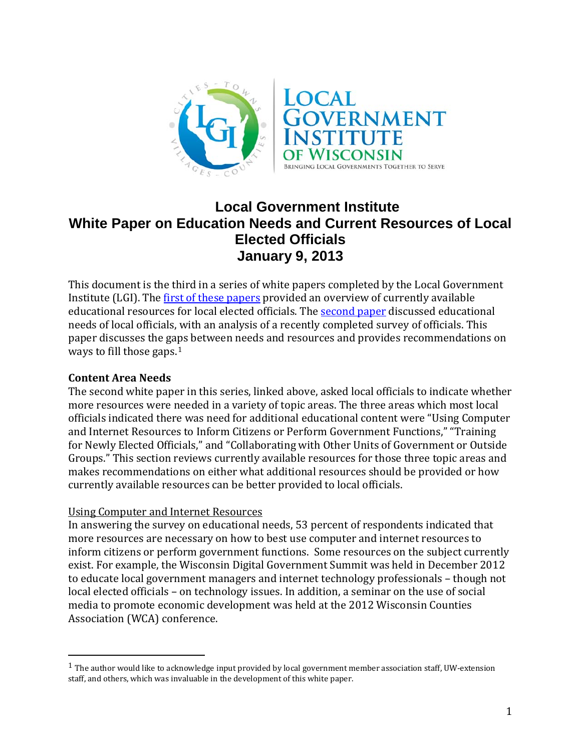

# **Local Government Institute White Paper on Education Needs and Current Resources of Local Elected Officials January 9, 2013**

This document is the third in a series of white papers completed by the Local Government Institute (LGI). The [first of these papers](http://localgovinstitute.org/sites/default/files/LGIWhitePaperonCurrentResources%20Nov%2019.pdf) provided an overview of currently available educational resources for local elected officials. The [second paper](http://localgovinstitute.org/sites/default/files/Local%20Official%20Education%20Needs.pdf) discussed educational needs of local officials, with an analysis of a recently completed survey of officials. This paper discusses the gaps between needs and resources and provides recommendations on ways to fill those gaps.<sup>[1](#page-0-0)</sup>

#### **Content Area Needs**

The second white paper in this series, linked above, asked local officials to indicate whether more resources were needed in a variety of topic areas. The three areas which most local officials indicated there was need for additional educational content were "Using Computer and Internet Resources to Inform Citizens or Perform Government Functions," "Training for Newly Elected Officials," and "Collaborating with Other Units of Government or Outside Groups." This section reviews currently available resources for those three topic areas and makes recommendations on either what additional resources should be provided or how currently available resources can be better provided to local officials.

## Using Computer and Internet Resources

In answering the survey on educational needs, 53 percent of respondents indicated that more resources are necessary on how to best use computer and internet resources to inform citizens or perform government functions. Some resources on the subject currently exist. For example, the Wisconsin Digital Government Summit was held in December 2012 to educate local government managers and internet technology professionals – though not local elected officials – on technology issues. In addition, a seminar on the use of social media to promote economic development was held at the 2012 Wisconsin Counties Association (WCA) conference.

<span id="page-0-0"></span> <sup>1</sup> The author would like to acknowledge input provided by local government member association staff, UW-extension staff, and others, which was invaluable in the development of this white paper.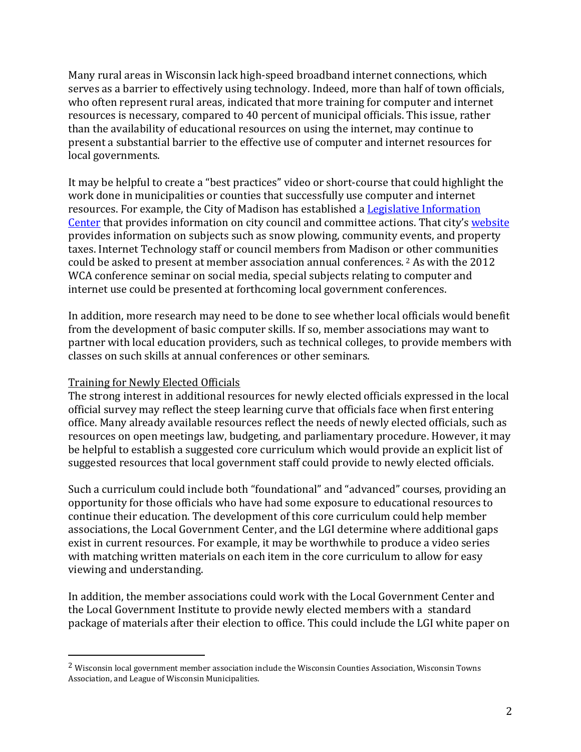Many rural areas in Wisconsin lack high-speed broadband internet connections, which serves as a barrier to effectively using technology. Indeed, more than half of town officials, who often represent rural areas, indicated that more training for computer and internet resources is necessary, compared to 40 percent of municipal officials. This issue, rather than the availability of educational resources on using the internet, may continue to present a substantial barrier to the effective use of computer and internet resources for local governments.

It may be helpful to create a "best practices" video or short-course that could highlight the work done in municipalities or counties that successfully use computer and internet resources. For example, the City of Madison has established a [Legislative Information](http://www.cityofmadison.com/cityhall/legislativeinformation/)  [Center](http://www.cityofmadison.com/cityhall/legislativeinformation/) that provides information on city council and committee actions. That city's [website](http://www.cityofmadison.com/) provides information on subjects such as snow plowing, community events, and property taxes. Internet Technology staff or council members from Madison or [o](#page-1-0)ther communities could be asked to present at member association annual conferences. <sup>2</sup> As with the 2012 WCA conference seminar on social media, special subjects relating to computer and internet use could be presented at forthcoming local government conferences.

In addition, more research may need to be done to see whether local officials would benefit from the development of basic computer skills. If so, member associations may want to partner with local education providers, such as technical colleges, to provide members with classes on such skills at annual conferences or other seminars.

#### Training for Newly Elected Officials

The strong interest in additional resources for newly elected officials expressed in the local official survey may reflect the steep learning curve that officials face when first entering office. Many already available resources reflect the needs of newly elected officials, such as resources on open meetings law, budgeting, and parliamentary procedure. However, it may be helpful to establish a suggested core curriculum which would provide an explicit list of suggested resources that local government staff could provide to newly elected officials.

Such a curriculum could include both "foundational" and "advanced" courses, providing an opportunity for those officials who have had some exposure to educational resources to continue their education. The development of this core curriculum could help member associations, the Local Government Center, and the LGI determine where additional gaps exist in current resources. For example, it may be worthwhile to produce a video series with matching written materials on each item in the core curriculum to allow for easy viewing and understanding.

In addition, the member associations could work with the Local Government Center and the Local Government Institute to provide newly elected members with a standard package of materials after their election to office. This could include the LGI white paper on

<span id="page-1-0"></span> <sup>2</sup> Wisconsin local government member association include the Wisconsin Counties Association, Wisconsin Towns Association, and League of Wisconsin Municipalities.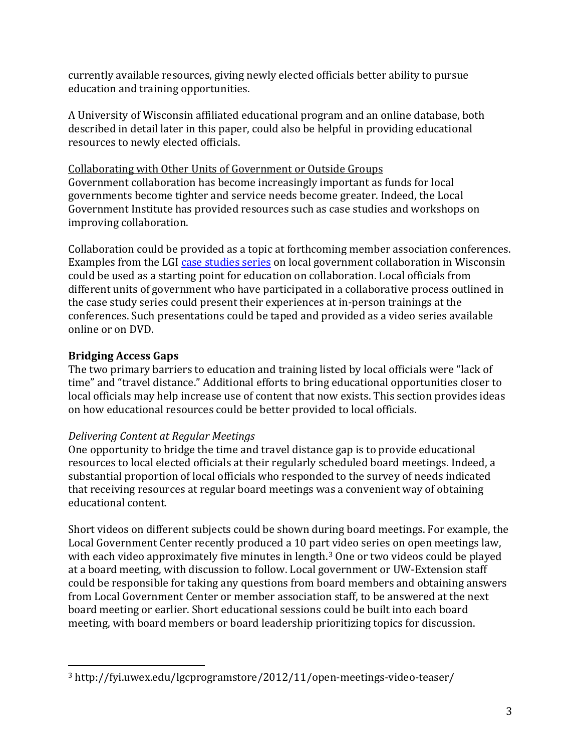currently available resources, giving newly elected officials better ability to pursue education and training opportunities.

A University of Wisconsin affiliated educational program and an online database, both described in detail later in this paper, could also be helpful in providing educational resources to newly elected officials.

Collaborating with Other Units of Government or Outside Groups Government collaboration has become increasingly important as funds for local governments become tighter and service needs become greater. Indeed, the Local Government Institute has provided resources such as case studies and workshops on improving collaboration.

Collaboration could be provided as a topic at forthcoming member association conferences. Examples from the LGI [case studies series](http://www.localgovinstitute.org/sites/default/files/CaseStudies1212-Final_0.pdf) on local government collaboration in Wisconsin could be used as a starting point for education on collaboration. Local officials from different units of government who have participated in a collaborative process outlined in the case study series could present their experiences at in-person trainings at the conferences. Such presentations could be taped and provided as a video series available online or on DVD.

# **Bridging Access Gaps**

The two primary barriers to education and training listed by local officials were "lack of time" and "travel distance." Additional efforts to bring educational opportunities closer to local officials may help increase use of content that now exists. This section provides ideas on how educational resources could be better provided to local officials.

## *Delivering Content at Regular Meetings*

One opportunity to bridge the time and travel distance gap is to provide educational resources to local elected officials at their regularly scheduled board meetings. Indeed, a substantial proportion of local officials who responded to the survey of needs indicated that receiving resources at regular board meetings was a convenient way of obtaining educational content.

Short videos on different subjects could be shown during board meetings. For example, the Local Government Center recently produced a 10 part video series on open meetings law, with each video approximately five minutes in length.<sup>[3](#page-2-0)</sup> One or two videos could be played at a board meeting, with discussion to follow. Local government or UW-Extension staff could be responsible for taking any questions from board members and obtaining answers from Local Government Center or member association staff, to be answered at the next board meeting or earlier. Short educational sessions could be built into each board meeting, with board members or board leadership prioritizing topics for discussion.

<span id="page-2-0"></span> <sup>3</sup> http://fyi.uwex.edu/lgcprogramstore/2012/11/open-meetings-video-teaser/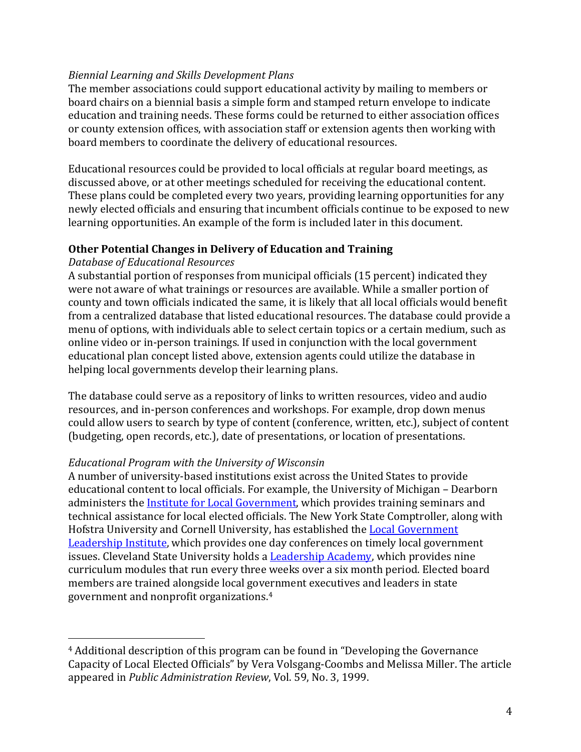#### *Biennial Learning and Skills Development Plans*

The member associations could support educational activity by mailing to members or board chairs on a biennial basis a simple form and stamped return envelope to indicate education and training needs. These forms could be returned to either association offices or county extension offices, with association staff or extension agents then working with board members to coordinate the delivery of educational resources.

Educational resources could be provided to local officials at regular board meetings, as discussed above, or at other meetings scheduled for receiving the educational content. These plans could be completed every two years, providing learning opportunities for any newly elected officials and ensuring that incumbent officials continue to be exposed to new learning opportunities. An example of the form is included later in this document.

#### **Other Potential Changes in Delivery of Education and Training**

#### *Database of Educational Resources*

A substantial portion of responses from municipal officials (15 percent) indicated they were not aware of what trainings or resources are available. While a smaller portion of county and town officials indicated the same, it is likely that all local officials would benefit from a centralized database that listed educational resources. The database could provide a menu of options, with individuals able to select certain topics or a certain medium, such as online video or in-person trainings. If used in conjunction with the local government educational plan concept listed above, extension agents could utilize the database in helping local governments develop their learning plans.

The database could serve as a repository of links to written resources, video and audio resources, and in-person conferences and workshops. For example, drop down menus could allow users to search by type of content (conference, written, etc.), subject of content (budgeting, open records, etc.), date of presentations, or location of presentations.

## *Educational Program with the University of Wisconsin*

A number of university-based institutions exist across the United States to provide educational content to local officials. For example, the University of Michigan – Dearborn administers the [Institute for Local Government,](http://www.umd.umich.edu/iflg/) which provides training seminars and technical assistance for local elected officials. The New York State Comptroller, along with Hofstra University and Cornell University, has established the [Local Government](http://www.osc.state.ny.us/localgov/lgli/whatis.htm)  [Leadership Institute,](http://www.osc.state.ny.us/localgov/lgli/whatis.htm) which provides one day conferences on timely local government issues. Cleveland State University holds a **Leadership Academy**, which provides nine curriculum modules that run every three weeks over a six month period. Elected board members are trained alongside local government executives and leaders in state government and nonprofit organizations.[4](#page-3-0)

<span id="page-3-0"></span> <sup>4</sup> Additional description of this program can be found in "Developing the Governance Capacity of Local Elected Officials" by Vera Volsgang-Coombs and Melissa Miller. The article appeared in *Public Administration Review*, Vol. 59, No. 3, 1999.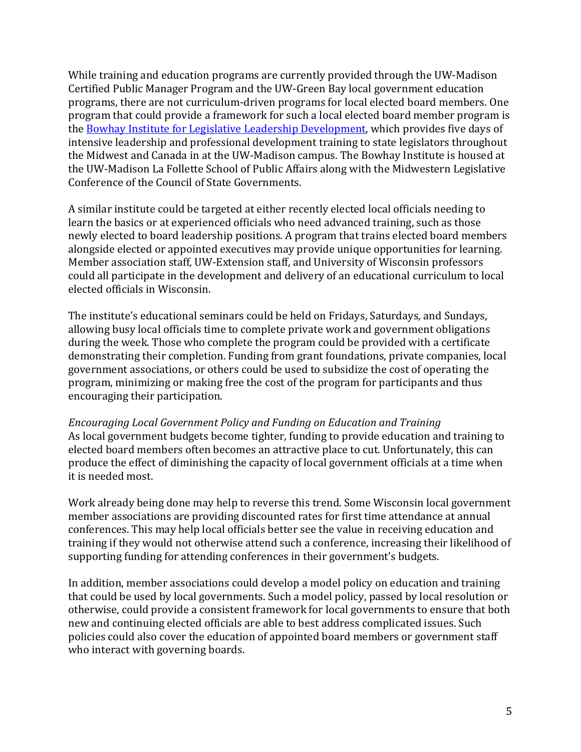While training and education programs are currently provided through the UW-Madison Certified Public Manager Program and the UW-Green Bay local government education programs, there are not curriculum-driven programs for local elected board members. One program that could provide a framework for such a local elected board member program is the [Bowhay Institute for Legislative Leadership Development,](http://www.lafollette.wisc.edu/publicservice/bowhay/) which provides five days of intensive leadership and professional development training to state legislators throughout the Midwest and Canada in at the UW-Madison campus. The Bowhay Institute is housed at the UW-Madison La Follette School of Public Affairs along with the Midwestern Legislative Conference of the Council of State Governments.

A similar institute could be targeted at either recently elected local officials needing to learn the basics or at experienced officials who need advanced training, such as those newly elected to board leadership positions. A program that trains elected board members alongside elected or appointed executives may provide unique opportunities for learning. Member association staff, UW-Extension staff, and University of Wisconsin professors could all participate in the development and delivery of an educational curriculum to local elected officials in Wisconsin.

The institute's educational seminars could be held on Fridays, Saturdays, and Sundays, allowing busy local officials time to complete private work and government obligations during the week. Those who complete the program could be provided with a certificate demonstrating their completion. Funding from grant foundations, private companies, local government associations, or others could be used to subsidize the cost of operating the program, minimizing or making free the cost of the program for participants and thus encouraging their participation.

*Encouraging Local Government Policy and Funding on Education and Training* As local government budgets become tighter, funding to provide education and training to elected board members often becomes an attractive place to cut. Unfortunately, this can produce the effect of diminishing the capacity of local government officials at a time when it is needed most.

Work already being done may help to reverse this trend. Some Wisconsin local government member associations are providing discounted rates for first time attendance at annual conferences. This may help local officials better see the value in receiving education and training if they would not otherwise attend such a conference, increasing their likelihood of supporting funding for attending conferences in their government's budgets.

In addition, member associations could develop a model policy on education and training that could be used by local governments. Such a model policy, passed by local resolution or otherwise, could provide a consistent framework for local governments to ensure that both new and continuing elected officials are able to best address complicated issues. Such policies could also cover the education of appointed board members or government staff who interact with governing boards.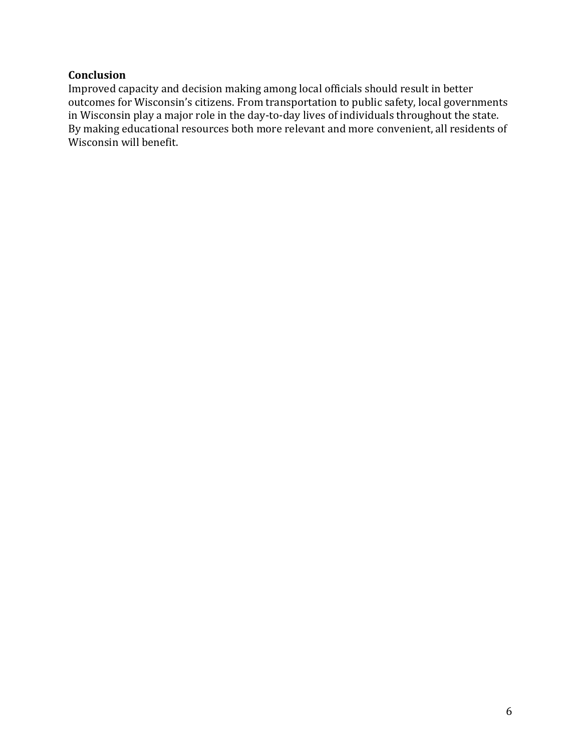## **Conclusion**

Improved capacity and decision making among local officials should result in better outcomes for Wisconsin's citizens. From transportation to public safety, local governments in Wisconsin play a major role in the day-to-day lives of individuals throughout the state. By making educational resources both more relevant and more convenient, all residents of Wisconsin will benefit.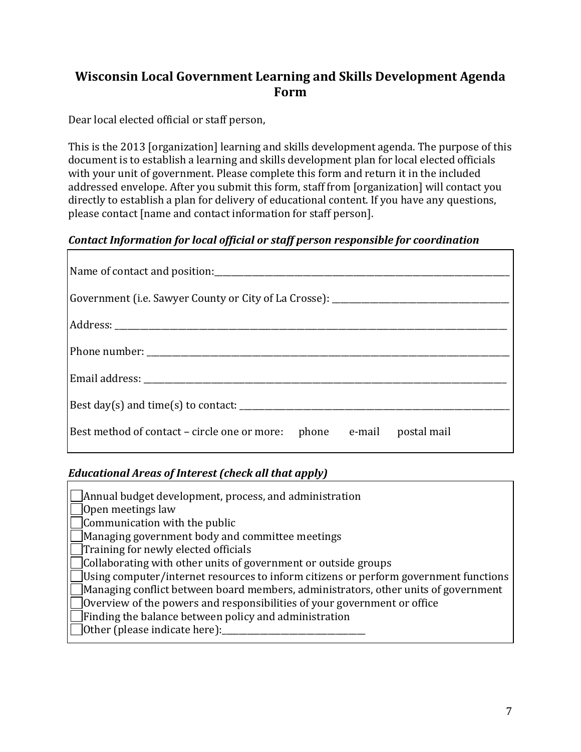# **Wisconsin Local Government Learning and Skills Development Agenda Form**

Dear local elected official or staff person,

This is the 2013 [organization] learning and skills development agenda. The purpose of this document is to establish a learning and skills development plan for local elected officials with your unit of government. Please complete this form and return it in the included addressed envelope. After you submit this form, staff from [organization] will contact you directly to establish a plan for delivery of educational content. If you have any questions, please contact [name and contact information for staff person].

#### *Contact Information for local official or staff person responsible for coordination*

| Government (i.e. Sawyer County or City of La Crosse): ___________________________ |
|-----------------------------------------------------------------------------------|
|                                                                                   |
|                                                                                   |
|                                                                                   |
| Best day(s) and time(s) to contact: $\frac{1}{2}$                                 |
| Best method of contact – circle one or more: phone e-mail postal mail             |

## *Educational Areas of Interest (check all that apply)*

| $\vert$ Annual budget development, process, and administration                              |
|---------------------------------------------------------------------------------------------|
| $\bigcup$ Open meetings law                                                                 |
| $\Box$ Communication with the public                                                        |
| Managing government body and committee meetings                                             |
| $\vert$ Training for newly elected officials                                                |
| $\Box$ Collaborating with other units of government or outside groups                       |
| $\Box$ Using computer/internet resources to inform citizens or perform government functions |
| $\Box$ Managing conflict between board members, administrators, other units of government   |
| $\Box$ Overview of the powers and responsibilities of your government or office             |
| $\Box$ Finding the balance between policy and administration                                |
| $\Box$ Other (please indicate here):                                                        |
|                                                                                             |